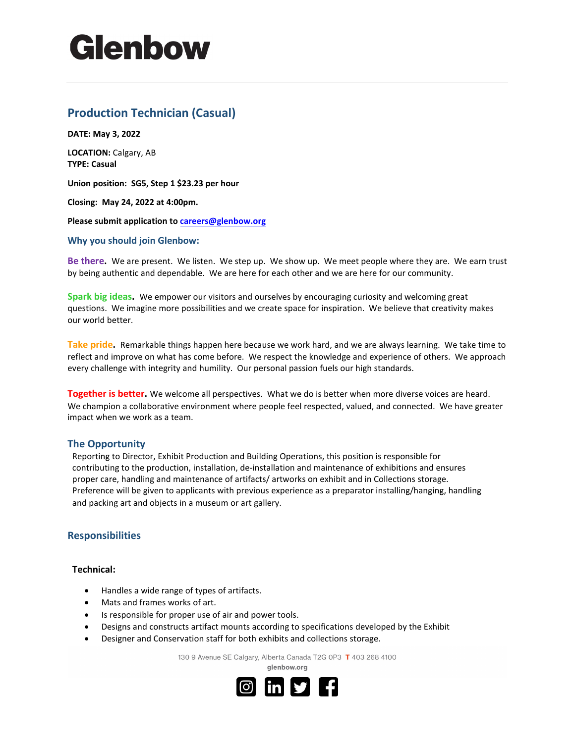# Glenbow

# **Production Technician (Casual)**

**DATE: May 3, 2022** 

**LOCATION:** Calgary, AB **TYPE: Casual** 

**Union position: SG5, Step 1 \$23.23 per hour** 

**Closing: May 24, 2022 at 4:00pm.** 

**Please submit application to [careers@glenbow.org](mailto:careers@glenbow.org)**

#### **Why you should join Glenbow:**

**Be there.** We are present. We listen. We step up. We show up. We meet people where they are. We earn trust by being authentic and dependable. We are here for each other and we are here for our community.

**Spark big ideas.** We empower our visitors and ourselves by encouraging curiosity and welcoming great questions. We imagine more possibilities and we create space for inspiration. We believe that creativity makes our world better.

**Take pride.** Remarkable things happen here because we work hard, and we are always learning. We take time to reflect and improve on what has come before. We respect the knowledge and experience of others. We approach every challenge with integrity and humility. Our personal passion fuels our high standards.

**Together is better.** We welcome all perspectives. What we do is better when more diverse voices are heard. We champion a collaborative environment where people feel respected, valued, and connected. We have greater impact when we work as a team.

### **The Opportunity**

Reporting to Director, Exhibit Production and Building Operations, this position is responsible for contributing to the production, installation, de-installation and maintenance of exhibitions and ensures proper care, handling and maintenance of artifacts/ artworks on exhibit and in Collections storage. Preference will be given to applicants with previous experience as a preparator installing/hanging, handling and packing art and objects in a museum or art gallery.

### **Responsibilities**

#### **Technical:**

- Handles a wide range of types of artifacts.
- Mats and frames works of art.
- Is responsible for proper use of air and power tools.
- Designs and constructs artifact mounts according to specifications developed by the Exhibit
- Designer and Conservation staff for both exhibits and collections storage.

130 9 Avenue SE Calgary, Alberta Canada T2G 0P3 T 403 268 4100

alenbow.ora